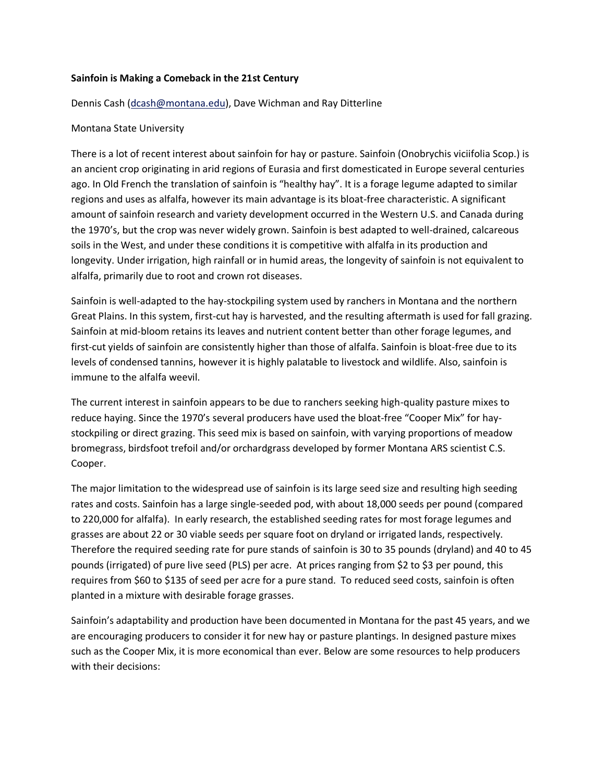## **Sainfoin is Making a Comeback in the 21st Century**

## Dennis Cash [\(dcash@montana.edu\)](mailto:dcash@montana.edu), Dave Wichman and Ray Ditterline

## Montana State University

There is a lot of recent interest about sainfoin for hay or pasture. Sainfoin (Onobrychis viciifolia Scop.) is an ancient crop originating in arid regions of Eurasia and first domesticated in Europe several centuries ago. In Old French the translation of sainfoin is "healthy hay". It is a forage legume adapted to similar regions and uses as alfalfa, however its main advantage is its bloat-free characteristic. A significant amount of sainfoin research and variety development occurred in the Western U.S. and Canada during the 1970's, but the crop was never widely grown. Sainfoin is best adapted to well-drained, calcareous soils in the West, and under these conditions it is competitive with alfalfa in its production and longevity. Under irrigation, high rainfall or in humid areas, the longevity of sainfoin is not equivalent to alfalfa, primarily due to root and crown rot diseases.

Sainfoin is well-adapted to the hay-stockpiling system used by ranchers in Montana and the northern Great Plains. In this system, first-cut hay is harvested, and the resulting aftermath is used for fall grazing. Sainfoin at mid-bloom retains its leaves and nutrient content better than other forage legumes, and first-cut yields of sainfoin are consistently higher than those of alfalfa. Sainfoin is bloat-free due to its levels of condensed tannins, however it is highly palatable to livestock and wildlife. Also, sainfoin is immune to the alfalfa weevil.

The current interest in sainfoin appears to be due to ranchers seeking high-quality pasture mixes to reduce haying. Since the 1970's several producers have used the bloat-free "Cooper Mix" for haystockpiling or direct grazing. This seed mix is based on sainfoin, with varying proportions of meadow bromegrass, birdsfoot trefoil and/or orchardgrass developed by former Montana ARS scientist C.S. Cooper.

The major limitation to the widespread use of sainfoin is its large seed size and resulting high seeding rates and costs. Sainfoin has a large single-seeded pod, with about 18,000 seeds per pound (compared to 220,000 for alfalfa). In early research, the established seeding rates for most forage legumes and grasses are about 22 or 30 viable seeds per square foot on dryland or irrigated lands, respectively. Therefore the required seeding rate for pure stands of sainfoin is 30 to 35 pounds (dryland) and 40 to 45 pounds (irrigated) of pure live seed (PLS) per acre. At prices ranging from \$2 to \$3 per pound, this requires from \$60 to \$135 of seed per acre for a pure stand. To reduced seed costs, sainfoin is often planted in a mixture with desirable forage grasses.

Sainfoin's adaptability and production have been documented in Montana for the past 45 years, and we are encouraging producers to consider it for new hay or pasture plantings. In designed pasture mixes such as the Cooper Mix, it is more economical than ever. Below are some resources to help producers with their decisions: